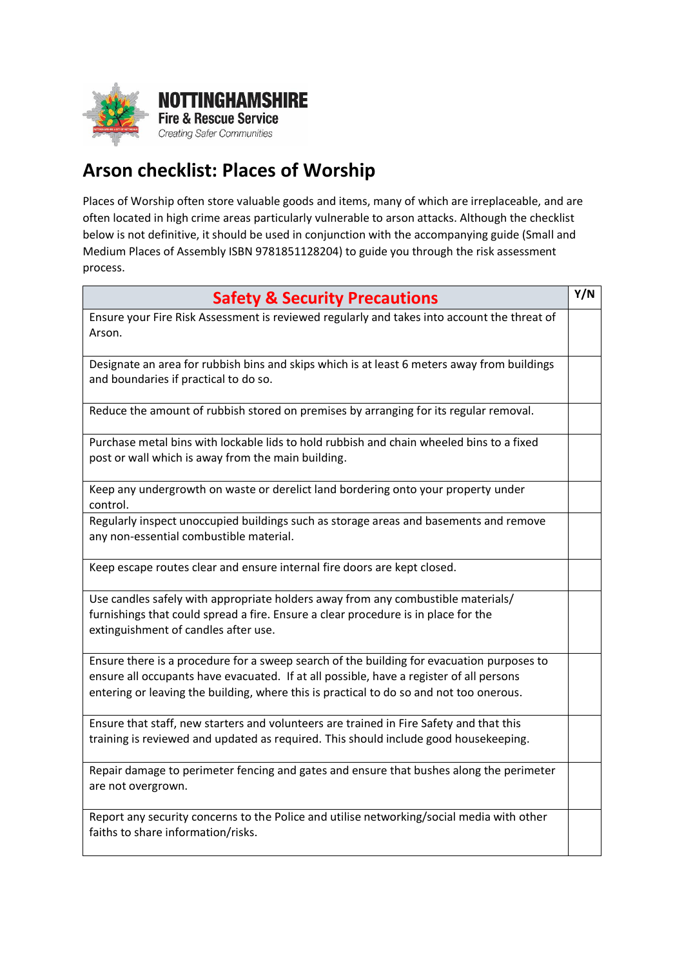

 $\blacksquare$ 

## **Arson checklist: Places of Worship**

Places of Worship often store valuable goods and items, many of which are irreplaceable, and are often located in high crime areas particularly vulnerable to arson attacks. Although the checklist below is not definitive, it should be used in conjunction with the accompanying guide (Small and Medium Places of Assembly ISBN 9781851128204) to guide you through the risk assessment process.

| <b>Safety &amp; Security Precautions</b>                                                                                                                                                                                                                                        | Y/N |
|---------------------------------------------------------------------------------------------------------------------------------------------------------------------------------------------------------------------------------------------------------------------------------|-----|
| Ensure your Fire Risk Assessment is reviewed regularly and takes into account the threat of<br>Arson.                                                                                                                                                                           |     |
| Designate an area for rubbish bins and skips which is at least 6 meters away from buildings<br>and boundaries if practical to do so.                                                                                                                                            |     |
| Reduce the amount of rubbish stored on premises by arranging for its regular removal.                                                                                                                                                                                           |     |
| Purchase metal bins with lockable lids to hold rubbish and chain wheeled bins to a fixed<br>post or wall which is away from the main building.                                                                                                                                  |     |
| Keep any undergrowth on waste or derelict land bordering onto your property under<br>control.                                                                                                                                                                                   |     |
| Regularly inspect unoccupied buildings such as storage areas and basements and remove<br>any non-essential combustible material.                                                                                                                                                |     |
| Keep escape routes clear and ensure internal fire doors are kept closed.                                                                                                                                                                                                        |     |
| Use candles safely with appropriate holders away from any combustible materials/<br>furnishings that could spread a fire. Ensure a clear procedure is in place for the<br>extinguishment of candles after use.                                                                  |     |
| Ensure there is a procedure for a sweep search of the building for evacuation purposes to<br>ensure all occupants have evacuated. If at all possible, have a register of all persons<br>entering or leaving the building, where this is practical to do so and not too onerous. |     |
| Ensure that staff, new starters and volunteers are trained in Fire Safety and that this<br>training is reviewed and updated as required. This should include good housekeeping.                                                                                                 |     |
| Repair damage to perimeter fencing and gates and ensure that bushes along the perimeter<br>are not overgrown.                                                                                                                                                                   |     |
| Report any security concerns to the Police and utilise networking/social media with other<br>faiths to share information/risks.                                                                                                                                                 |     |